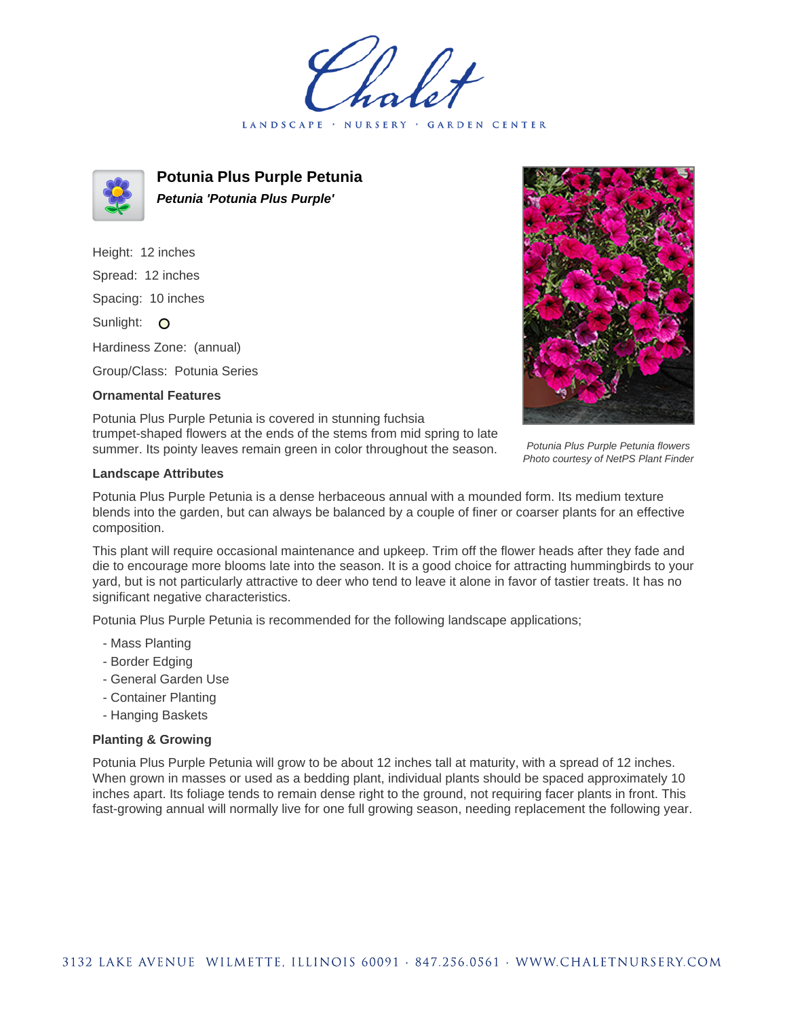holet LANDSCAPE · GARDEN CENTER



**Potunia Plus Purple Petunia Petunia 'Potunia Plus Purple'**

Height: 12 inches Spread: 12 inches Spacing: 10 inches Sunlight: O Hardiness Zone: (annual)

Group/Class: Potunia Series

## **Ornamental Features**



Potunia Plus Purple Petunia is covered in stunning fuchsia trumpet-shaped flowers at the ends of the stems from mid spring to late summer. Its pointy leaves remain green in color throughout the season.

## Potunia Plus Purple Petunia flowers Photo courtesy of NetPS Plant Finder

## **Landscape Attributes**

Potunia Plus Purple Petunia is a dense herbaceous annual with a mounded form. Its medium texture blends into the garden, but can always be balanced by a couple of finer or coarser plants for an effective composition.

This plant will require occasional maintenance and upkeep. Trim off the flower heads after they fade and die to encourage more blooms late into the season. It is a good choice for attracting hummingbirds to your yard, but is not particularly attractive to deer who tend to leave it alone in favor of tastier treats. It has no significant negative characteristics.

Potunia Plus Purple Petunia is recommended for the following landscape applications;

- Mass Planting
- Border Edging
- General Garden Use
- Container Planting
- Hanging Baskets

## **Planting & Growing**

Potunia Plus Purple Petunia will grow to be about 12 inches tall at maturity, with a spread of 12 inches. When grown in masses or used as a bedding plant, individual plants should be spaced approximately 10 inches apart. Its foliage tends to remain dense right to the ground, not requiring facer plants in front. This fast-growing annual will normally live for one full growing season, needing replacement the following year.